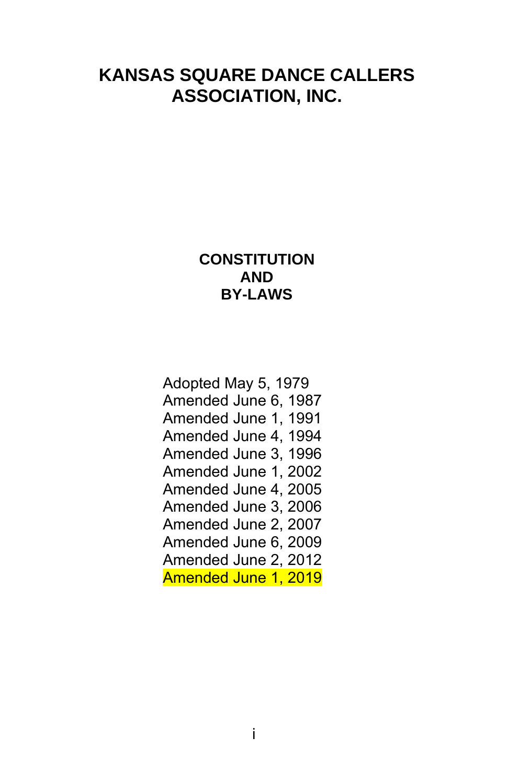# **KANSAS SQUARE DANCE CALLERS ASSOCIATION, INC.**

# **CONSTITUTION AND BY-LAWS**

Adopted May 5, 1979 Amended June 6, 1987 Amended June 1, 1991 Amended June 4, 1994 Amended June 3, 1996 Amended June 1, 2002 Amended June 4, 2005 Amended June 3, 2006 Amended June 2, 2007 Amended June 6, 2009 Amended June 2, 2012 Amended June 1, 2019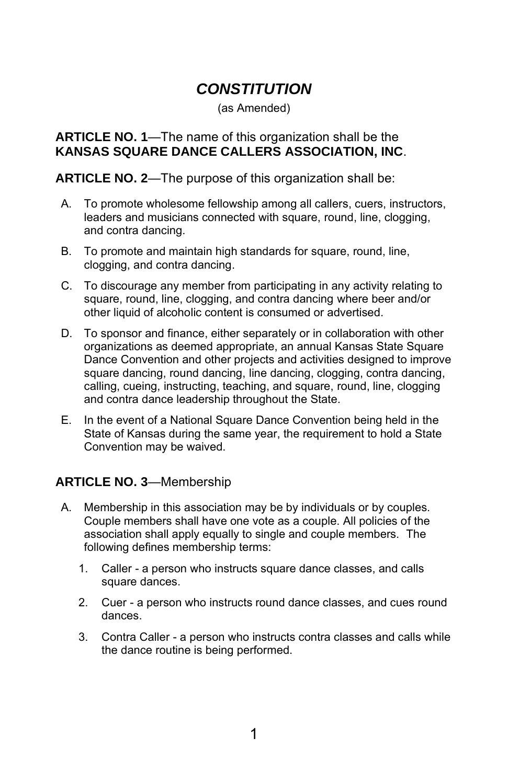# *CONSTITUTION*

(as Amended)

### **ARTICLE NO. 1**—The name of this organization shall be the **KANSAS SQUARE DANCE CALLERS ASSOCIATION, INC**.

**ARTICLE NO. 2**—The purpose of this organization shall be:

- A. To promote wholesome fellowship among all callers, cuers, instructors, leaders and musicians connected with square, round, line, clogging, and contra dancing.
- B. To promote and maintain high standards for square, round, line, clogging, and contra dancing.
- C. To discourage any member from participating in any activity relating to square, round, line, clogging, and contra dancing where beer and/or other liquid of alcoholic content is consumed or advertised.
- D. To sponsor and finance, either separately or in collaboration with other organizations as deemed appropriate, an annual Kansas State Square Dance Convention and other projects and activities designed to improve square dancing, round dancing, line dancing, clogging, contra dancing, calling, cueing, instructing, teaching, and square, round, line, clogging and contra dance leadership throughout the State.
- E. In the event of a National Square Dance Convention being held in the State of Kansas during the same year, the requirement to hold a State Convention may be waived.

## **ARTICLE NO. 3**—Membership

- A. Membership in this association may be by individuals or by couples. Couple members shall have one vote as a couple. All policies of the association shall apply equally to single and couple members. The following defines membership terms:
	- 1. Caller a person who instructs square dance classes, and calls square dances.
	- 2. Cuer a person who instructs round dance classes, and cues round dances.
	- 3. Contra Caller a person who instructs contra classes and calls while the dance routine is being performed.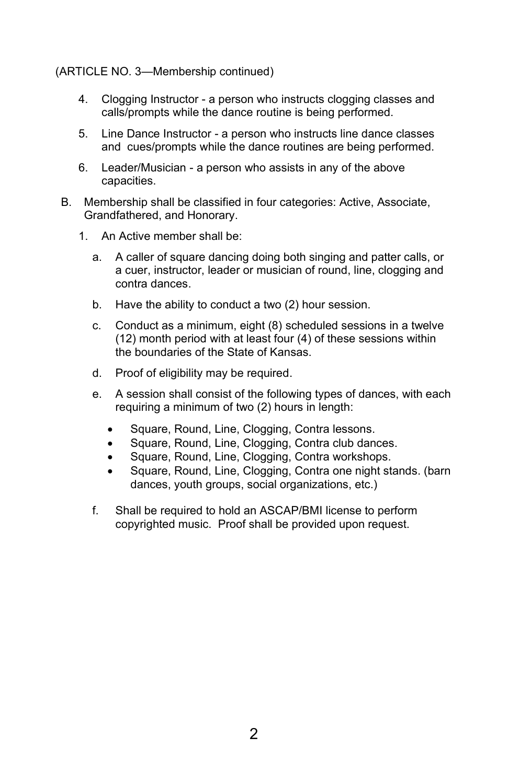#### (ARTICLE NO. 3—Membership continued)

- 4. Clogging Instructor a person who instructs clogging classes and calls/prompts while the dance routine is being performed.
- 5. Line Dance Instructor a person who instructs line dance classes and cues/prompts while the dance routines are being performed.
- 6. Leader/Musician a person who assists in any of the above capacities.
- B. Membership shall be classified in four categories: Active, Associate, Grandfathered, and Honorary.
	- 1. An Active member shall be:
		- a. A caller of square dancing doing both singing and patter calls, or a cuer, instructor, leader or musician of round, line, clogging and contra dances.
		- b. Have the ability to conduct a two (2) hour session.
		- c. Conduct as a minimum, eight (8) scheduled sessions in a twelve (12) month period with at least four (4) of these sessions within the boundaries of the State of Kansas.
		- d. Proof of eligibility may be required.
		- e. A session shall consist of the following types of dances, with each requiring a minimum of two (2) hours in length:
			- Square, Round, Line, Clogging, Contra lessons.
			- Square, Round, Line, Clogging, Contra club dances.
			- Square, Round, Line, Clogging, Contra workshops.
			- Square, Round, Line, Clogging, Contra one night stands. (barn dances, youth groups, social organizations, etc.)
		- f. Shall be required to hold an ASCAP/BMI license to perform copyrighted music. Proof shall be provided upon request.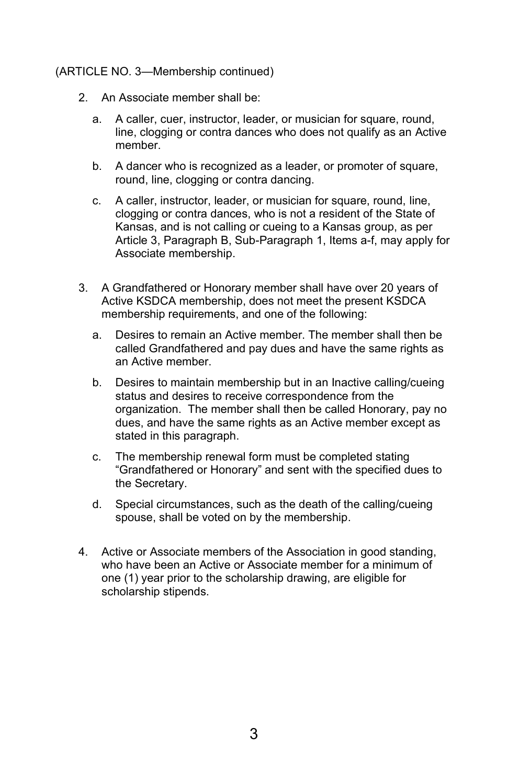#### (ARTICLE NO. 3—Membership continued)

- 2. An Associate member shall be:
	- a. A caller, cuer, instructor, leader, or musician for square, round, line, clogging or contra dances who does not qualify as an Active member.
	- b. A dancer who is recognized as a leader, or promoter of square, round, line, clogging or contra dancing.
	- c. A caller, instructor, leader, or musician for square, round, line, clogging or contra dances, who is not a resident of the State of Kansas, and is not calling or cueing to a Kansas group, as per Article 3, Paragraph B, Sub-Paragraph 1, Items a-f, may apply for Associate membership.
- 3. A Grandfathered or Honorary member shall have over 20 years of Active KSDCA membership, does not meet the present KSDCA membership requirements, and one of the following:
	- a. Desires to remain an Active member. The member shall then be called Grandfathered and pay dues and have the same rights as an Active member.
	- b. Desires to maintain membership but in an Inactive calling/cueing status and desires to receive correspondence from the organization. The member shall then be called Honorary, pay no dues, and have the same rights as an Active member except as stated in this paragraph.
	- c. The membership renewal form must be completed stating "Grandfathered or Honorary" and sent with the specified dues to the Secretary.
	- d. Special circumstances, such as the death of the calling/cueing spouse, shall be voted on by the membership.
- 4. Active or Associate members of the Association in good standing, who have been an Active or Associate member for a minimum of one (1) year prior to the scholarship drawing, are eligible for scholarship stipends.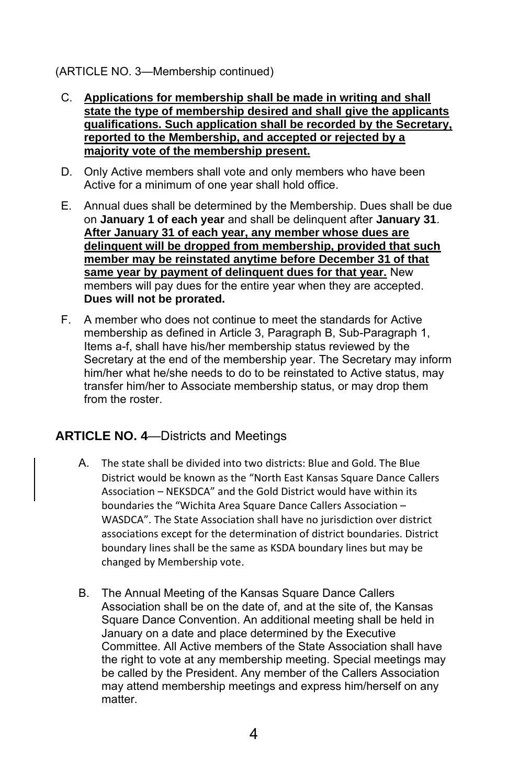#### (ARTICLE NO. 3—Membership continued)

- C. **Applications for membership shall be made in writing and shall state the type of membership desired and shall give the applicants qualifications. Such application shall be recorded by the Secretary, reported to the Membership, and accepted or rejected by a majority vote of the membership present.**
- D. Only Active members shall vote and only members who have been Active for a minimum of one year shall hold office.
- E. Annual dues shall be determined by the Membership. Dues shall be due on **January 1 of each year** and shall be delinquent after **January 31**. **After January 31 of each year, any member whose dues are delinquent will be dropped from membership, provided that such member may be reinstated anytime before December 31 of that same year by payment of delinquent dues for that year.** New members will pay dues for the entire year when they are accepted. **Dues will not be prorated.**
- F. A member who does not continue to meet the standards for Active membership as defined in Article 3, Paragraph B, Sub-Paragraph 1, Items a-f, shall have his/her membership status reviewed by the Secretary at the end of the membership year. The Secretary may inform him/her what he/she needs to do to be reinstated to Active status, may transfer him/her to Associate membership status, or may drop them from the roster.

### **ARTICLE NO. 4**—Districts and Meetings

- A. The state shall be divided into two districts: Blue and Gold. The Blue District would be known as the "North East Kansas Square Dance Callers Association – NEKSDCA" and the Gold District would have within its boundaries the "Wichita Area Square Dance Callers Association – WASDCA". The State Association shall have no jurisdiction over district associations except for the determination of district boundaries. District boundary lines shall be the same as KSDA boundary lines but may be changed by Membership vote.
- B. The Annual Meeting of the Kansas Square Dance Callers Association shall be on the date of, and at the site of, the Kansas Square Dance Convention. An additional meeting shall be held in January on a date and place determined by the Executive Committee. All Active members of the State Association shall have the right to vote at any membership meeting. Special meetings may be called by the President. Any member of the Callers Association may attend membership meetings and express him/herself on any matter.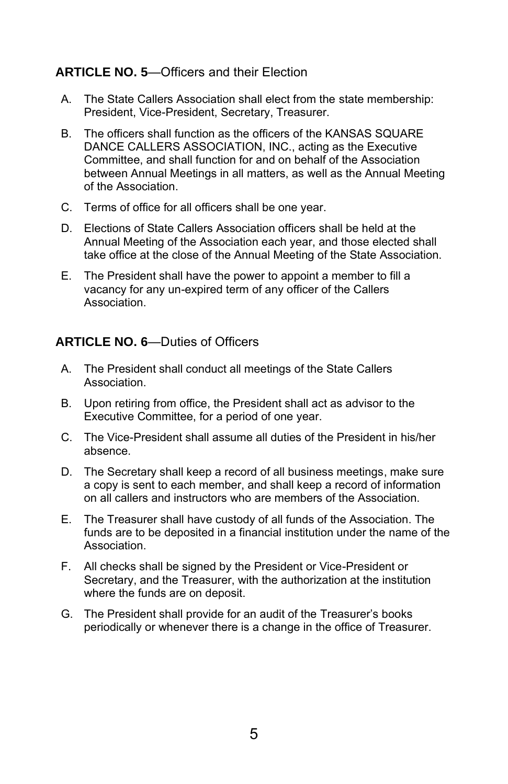### **ARTICLE NO. 5**—Officers and their Election

- A. The State Callers Association shall elect from the state membership: President, Vice-President, Secretary, Treasurer.
- B. The officers shall function as the officers of the KANSAS SQUARE DANCE CALLERS ASSOCIATION, INC., acting as the Executive Committee, and shall function for and on behalf of the Association between Annual Meetings in all matters, as well as the Annual Meeting of the Association.
- C. Terms of office for all officers shall be one year.
- D. Elections of State Callers Association officers shall be held at the Annual Meeting of the Association each year, and those elected shall take office at the close of the Annual Meeting of the State Association.
- E. The President shall have the power to appoint a member to fill a vacancy for any un-expired term of any officer of the Callers Association.

#### **ARTICLE NO. 6**—Duties of Officers

- A. The President shall conduct all meetings of the State Callers Association.
- B. Upon retiring from office, the President shall act as advisor to the Executive Committee, for a period of one year.
- C. The Vice-President shall assume all duties of the President in his/her absence.
- D. The Secretary shall keep a record of all business meetings, make sure a copy is sent to each member, and shall keep a record of information on all callers and instructors who are members of the Association.
- E. The Treasurer shall have custody of all funds of the Association. The funds are to be deposited in a financial institution under the name of the Association.
- F. All checks shall be signed by the President or Vice-President or Secretary, and the Treasurer, with the authorization at the institution where the funds are on deposit.
- G. The President shall provide for an audit of the Treasurer's books periodically or whenever there is a change in the office of Treasurer.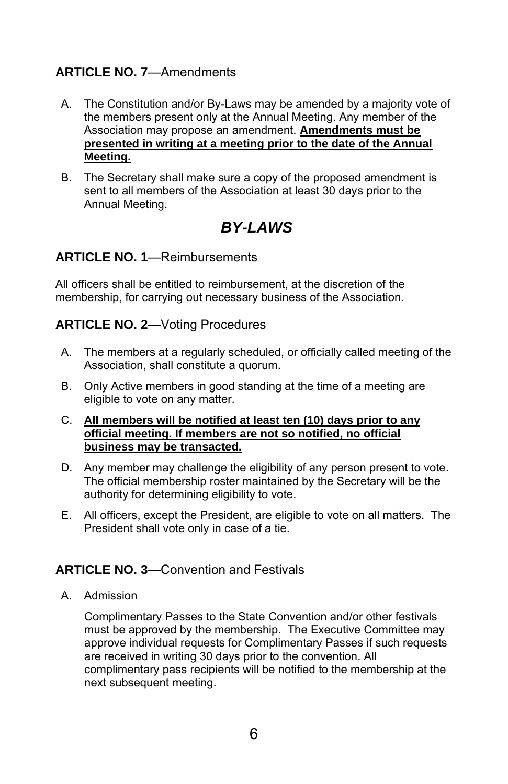## **ARTICLE NO. 7**—Amendments

- A. The Constitution and/or By-Laws may be amended by a majority vote of the members present only at the Annual Meeting. Any member of the Association may propose an amendment. **Amendments must be presented in writing at a meeting prior to the date of the Annual Meeting.**
- B. The Secretary shall make sure a copy of the proposed amendment is sent to all members of the Association at least 30 days prior to the Annual Meeting.

# *BY-LAWS*

## **ARTICLE NO. 1**—Reimbursements

All officers shall be entitled to reimbursement, at the discretion of the membership, for carrying out necessary business of the Association.

### **ARTICLE NO. 2**—Voting Procedures

- A. The members at a regularly scheduled, or officially called meeting of the Association, shall constitute a quorum.
- B. Only Active members in good standing at the time of a meeting are eligible to vote on any matter.

#### C. **All members will be notified at least ten (10) days prior to any official meeting. If members are not so notified, no official business may be transacted.**

- D. Any member may challenge the eligibility of any person present to vote. The official membership roster maintained by the Secretary will be the authority for determining eligibility to vote.
- E. All officers, except the President, are eligible to vote on all matters. The President shall vote only in case of a tie.

## **ARTICLE NO. 3**—Convention and Festivals

A. Admission

Complimentary Passes to the State Convention and/or other festivals must be approved by the membership. The Executive Committee may approve individual requests for Complimentary Passes if such requests are received in writing 30 days prior to the convention. All complimentary pass recipients will be notified to the membership at the next subsequent meeting.